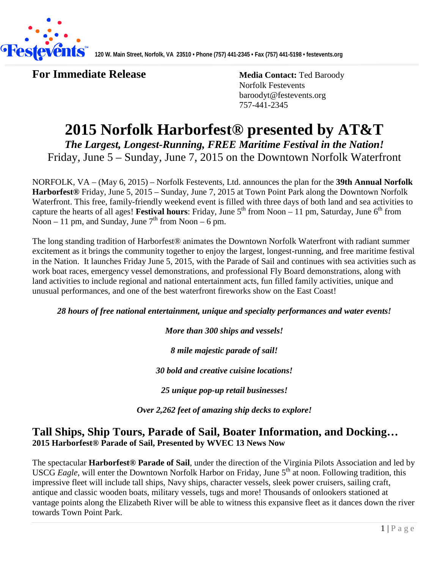

**For Immediate Release Media Contact:** Ted Baroody

Norfolk Festevents baroodyt@festevents.org 757-441-2345

# **2015 Norfolk Harborfest® presented by AT&T**

*The Largest, Longest-Running, FREE Maritime Festival in the Nation!* Friday, June 5 – Sunday, June 7, 2015 on the Downtown Norfolk Waterfront

NORFOLK, VA – (May 6, 2015) – Norfolk Festevents, Ltd. announces the plan for the **39th Annual Norfolk Harborfest®** Friday, June 5, 2015 – Sunday, June 7, 2015 at Town Point Park along the Downtown Norfolk Waterfront. This free, family-friendly weekend event is filled with three days of both land and sea activities to capture the hearts of all ages! **Festival hours**: Friday, June  $5<sup>th</sup>$  from Noon – 11 pm, Saturday, June  $6<sup>th</sup>$  from Noon – 11 pm, and Sunday, June  $7<sup>th</sup>$  from Noon – 6 pm.

The long standing tradition of Harborfest® animates the Downtown Norfolk Waterfront with radiant summer excitement as it brings the community together to enjoy the largest, longest-running, and free maritime festival in the Nation. It launches Friday June 5, 2015, with the Parade of Sail and continues with sea activities such as work boat races, emergency vessel demonstrations, and professional Fly Board demonstrations, along with land activities to include regional and national entertainment acts, fun filled family activities, unique and unusual performances, and one of the best waterfront fireworks show on the East Coast!

*28 hours of free national entertainment, unique and specialty performances and water events!*

*More than 300 ships and vessels!*

*8 mile majestic parade of sail!*

*30 bold and creative cuisine locations!*

*25 unique pop-up retail businesses!*

*Over 2,262 feet of amazing ship decks to explore!*

## **Tall Ships, Ship Tours, Parade of Sail, Boater Information, and Docking… 2015 Harborfest® Parade of Sail, Presented by WVEC 13 News Now**

The spectacular **Harborfest® Parade of Sail**, under the direction of the Virginia Pilots Association and led by USCG *Eagle*, will enter the Downtown Norfolk Harbor on Friday, June 5<sup>th</sup> at noon. Following tradition, this impressive fleet will include tall ships, Navy ships, character vessels, sleek power cruisers, sailing craft, antique and classic wooden boats, military vessels, tugs and more! Thousands of onlookers stationed at vantage points along the Elizabeth River will be able to witness this expansive fleet as it dances down the river towards Town Point Park.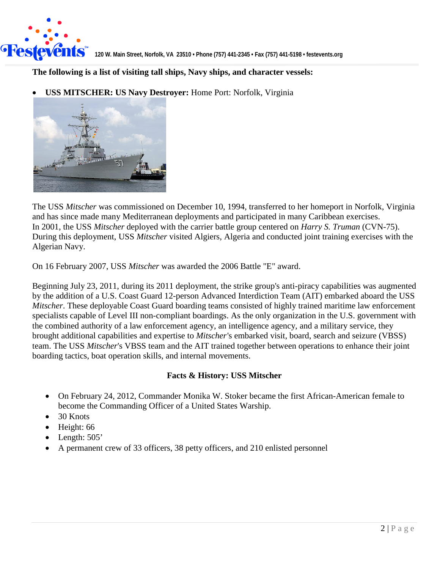

#### **The following is a list of visiting tall ships, Navy ships, and character vessels:**

• **USS MITSCHER: US Navy Destroyer:** Home Port: Norfolk, Virginia



The USS *Mitscher* was commissioned on December 10, 1994, transferred to her homeport in Norfolk, Virginia and has since made many Mediterranean deployments and participated in many Caribbean exercises. In 2001, the USS *Mitscher* deployed with the carrier battle group centered on *Harry S. Truman* (CVN-75). During this deployment, USS *Mitscher* visited Algiers, Algeria and conducted joint training exercises with the Algerian Navy.

On 16 February 2007, USS *Mitscher* was awarded the 2006 Battle "E" award.

Beginning July 23, 2011, during its 2011 deployment, the strike group's anti-piracy capabilities was augmented by the addition of a U.S. Coast Guard 12-person Advanced Interdiction Team (AIT) embarked aboard the USS *Mitscher*. These deployable Coast Guard boarding teams consisted of highly trained maritime law enforcement specialists capable of Level III non-compliant boardings. As the only organization in the U.S. government with the combined authority of a law enforcement agency, an intelligence agency, and a military service, they brought additional capabilities and expertise to *Mitscher*'s embarked visit, board, search and seizure (VBSS) team. The USS *Mitscher*'s VBSS team and the AIT trained together between operations to enhance their joint boarding tactics, boat operation skills, and internal movements.

#### **Facts & History: USS Mitscher**

- On February 24, 2012, Commander Monika W. Stoker became the first African-American female to become the Commanding Officer of a United States Warship.
- 30 Knots
- Height: 66
- Length: 505'
- A permanent crew of 33 officers, 38 petty officers, and 210 enlisted personnel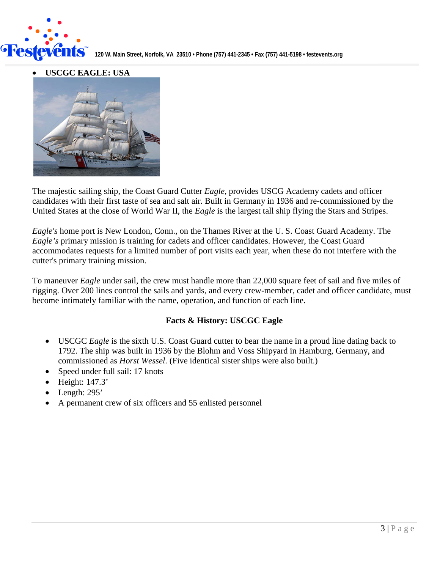

• **USCGC EAGLE: USA** 



The majestic sailing ship, the Coast Guard Cutter *Eagle*, provides USCG Academy cadets and officer candidates with their first taste of sea and salt air. Built in Germany in 1936 and re-commissioned by the United States at the close of World War II, the *Eagle* is the largest tall ship flying the Stars and Stripes.

*Eagle's* home port is New London, Conn., on the Thames River at the U. S. Coast Guard Academy. The *Eagle's* primary mission is training for cadets and officer candidates. However, the Coast Guard accommodates requests for a limited number of port visits each year, when these do not interfere with the cutter's primary training mission.

To maneuver *Eagle* under sail, the crew must handle more than 22,000 square feet of sail and five miles of rigging. Over 200 lines control the sails and yards, and every crew-member, cadet and officer candidate, must become intimately familiar with the name, operation, and function of each line.

#### **Facts & History: USCGC Eagle**

- USCGC *Eagle* is the sixth U.S. Coast Guard cutter to bear the name in a proud line dating back to 1792. The ship was built in 1936 by the Blohm and Voss Shipyard in Hamburg, Germany, and commissioned as *Horst Wessel*. (Five identical sister ships were also built.)
- Speed under full sail: 17 knots
- Height: 147.3'
- Length: 295'
- A permanent crew of six officers and 55 enlisted personnel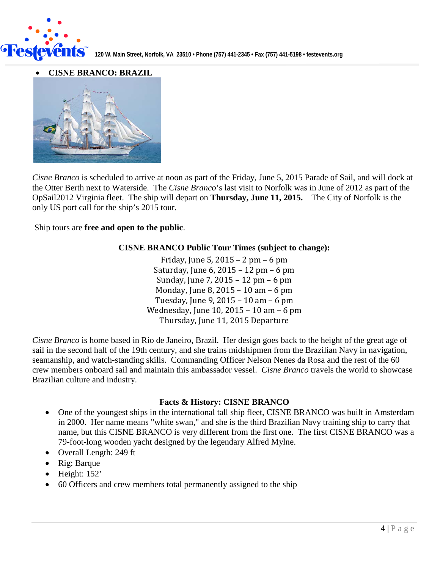

• **CISNE BRANCO: BRAZIL**



*Cisne Branco* is scheduled to arrive at noon as part of the Friday, June 5, 2015 Parade of Sail, and will dock at the Otter Berth next to Waterside. The *Cisne Branco*'s last visit to Norfolk was in June of 2012 as part of the OpSail2012 Virginia fleet. The ship will depart on **Thursday, June 11, 2015.** The City of Norfolk is the only US port call for the ship's 2015 tour.

Ship tours are **free and open to the public**.

#### **CISNE BRANCO Public Tour Times (subject to change):**

Friday, June 5, 2015 – 2 pm – 6 pm Saturday, June 6, 2015 – 12 pm – 6 pm Sunday, June 7, 2015 – 12 pm – 6 pm Monday, June 8, 2015 – 10 am – 6 pm Tuesday, June 9, 2015 – 10 am – 6 pm Wednesday, June 10, 2015 – 10 am – 6 pm Thursday, June 11, 2015 Departure

*Cisne Branco* is home based in Rio de Janeiro, Brazil. Her design goes back to the height of the great age of sail in the second half of the 19th century, and she trains midshipmen from the Brazilian Navy in navigation, seamanship, and watch-standing skills. Commanding Officer Nelson Nenes da Rosa and the rest of the 60 crew members onboard sail and maintain this ambassador vessel. *Cisne Branco* travels the world to showcase Brazilian culture and industry.

#### **Facts & History: CISNE BRANCO**

- One of the youngest ships in the international tall ship fleet, CISNE BRANCO was built in Amsterdam in 2000. Her name means "white swan," and she is the third Brazilian Navy training ship to carry that name, but this CISNE BRANCO is very different from the first one. The first CISNE BRANCO was a 79-foot-long wooden yacht designed by the legendary Alfred Mylne.
- Overall Length: 249 ft
- Rig: Barque
- Height: 152'
- 60 Officers and crew members total permanently assigned to the ship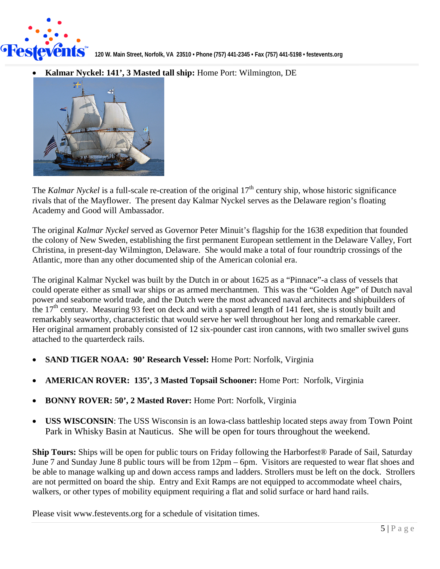

• **Kalmar Nyckel: 141', 3 Masted tall ship:** Home Port: Wilmington, DE



The *Kalmar Nyckel* is a full-scale re-creation of the original 17<sup>th</sup> century ship, whose historic significance rivals that of the Mayflower. The present day Kalmar Nyckel serves as the Delaware region's floating Academy and Good will Ambassador.

The original *Kalmar Nyckel* served as Governor Peter Minuit's flagship for the 1638 expedition that founded the colony of New Sweden, establishing the first permanent European settlement in the Delaware Valley, Fort Christina, in present-day Wilmington, Delaware. She would make a total of four roundtrip crossings of the Atlantic, more than any other documented ship of the American colonial era.

The original Kalmar Nyckel was built by the Dutch in or about 1625 as a "Pinnace"-a class of vessels that could operate either as small war ships or as armed merchantmen. This was the "Golden Age" of Dutch naval power and seaborne world trade, and the Dutch were the most advanced naval architects and shipbuilders of the 17<sup>th</sup> century. Measuring 93 feet on deck and with a sparred length of 141 feet, she is stoutly built and remarkably seaworthy, characteristic that would serve her well throughout her long and remarkable career. Her original armament probably consisted of 12 six-pounder cast iron cannons, with two smaller swivel guns attached to the quarterdeck rails.

- **SAND TIGER NOAA: 90' Research Vessel:** Home Port: Norfolk, Virginia
- **AMERICAN ROVER: 135', 3 Masted Topsail Schooner:** Home Port: Norfolk, Virginia
- **BONNY ROVER: 50', 2 Masted Rover:** Home Port: Norfolk, Virginia
- **USS WISCONSIN**: The USS Wisconsin is an Iowa-class battleship located steps away from Town Point Park in Whisky Basin at Nauticus. She will be open for tours throughout the weekend.

**Ship Tours:** Ships will be open for public tours on Friday following the Harborfest® Parade of Sail, Saturday June 7 and Sunday June 8 public tours will be from 12pm – 6pm. Visitors are requested to wear flat shoes and be able to manage walking up and down access ramps and ladders. Strollers must be left on the dock. Strollers are not permitted on board the ship. Entry and Exit Ramps are not equipped to accommodate wheel chairs, walkers, or other types of mobility equipment requiring a flat and solid surface or hard hand rails.

Please visit www.festevents.org for a schedule of visitation times.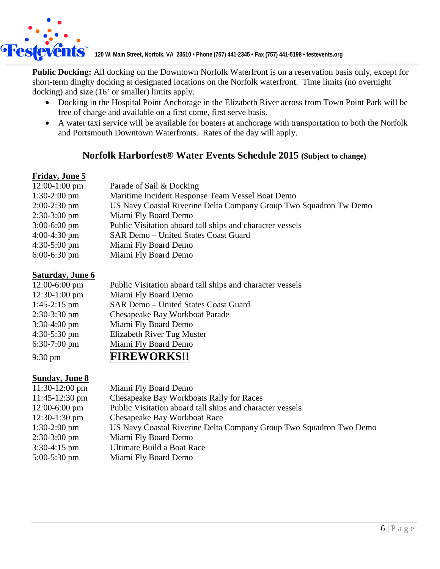

**120 W. Main Street, Norfolk, VA 23510 •** Phone (757) 441-2345 • Fax (757) 441-5198 • festevents.org

**Public Docking:** All docking on the Downtown Norfolk Waterfront is on a reservation basis only, except for short-term dinghy docking at designated locations on the Norfolk waterfront. Time limits (no overnight docking) and size (16' or smaller) limits apply.

- Docking in the Hospital Point Anchorage in the Elizabeth River across from Town Point Park will be free of charge and available on a first come, first serve basis.
- A water taxi service will be available for boaters at anchorage with transportation to both the Norfolk and Portsmouth Downtown Waterfronts. Rates of the day will apply.

# **Norfolk Harborfest® Water Events Schedule 2015 (Subject to change)**

### **Friday, June 5**

| $12:00-1:00$ pm        | Parade of Sail & Docking                                          |
|------------------------|-------------------------------------------------------------------|
| $1:30-2:00$ pm         | Maritime Incident Response Team Vessel Boat Demo                  |
| $2:00-2:30$ pm         | US Navy Coastal Riverine Delta Company Group Two Squadron Tw Demo |
| $2:30-3:00 \text{ pm}$ | Miami Fly Board Demo                                              |
| $3:00-6:00$ pm         | Public Visitation aboard tall ships and character vessels         |
| $4:00-4:30$ pm         | SAR Demo - United States Coast Guard                              |
| $4:30-5:00 \text{ pm}$ | Miami Fly Board Demo                                              |
| $6:00-6:30$ pm         | Miami Fly Board Demo                                              |

#### **Saturday, June 6**

| $12:00-6:00$ pm   | Public Visitation aboard tall ships and character vessels |
|-------------------|-----------------------------------------------------------|
| $12:30-1:00$ pm   | Miami Fly Board Demo                                      |
| $1:45-2:15$ pm    | SAR Demo - United States Coast Guard                      |
| $2:30-3:30$ pm    | Chesapeake Bay Workboat Parade                            |
| $3:30-4:00$ pm    | Miami Fly Board Demo                                      |
| $4:30-5:30$ pm    | Elizabeth River Tug Muster                                |
| $6:30-7:00$ pm    | Miami Fly Board Demo                                      |
| $9:30 \text{ pm}$ | <b>FIREWORKS!!</b>                                        |

## **Sunday, June 8**

| $11:30-12:00$ pm       | Miami Fly Board Demo                                               |
|------------------------|--------------------------------------------------------------------|
| $11:45-12:30$ pm       | Chesapeake Bay Workboats Rally for Races                           |
| $12:00-6:00$ pm        | Public Visitation aboard tall ships and character vessels          |
| $12:30-1:30$ pm        | <b>Chesapeake Bay Workboat Race</b>                                |
| $1:30-2:00$ pm         | US Navy Coastal Riverine Delta Company Group Two Squadron Two Demo |
| $2:30-3:00 \text{ pm}$ | Miami Fly Board Demo                                               |
| $3:30-4:15$ pm         | Ultimate Build a Boat Race                                         |
| $5:00-5:30$ pm         | Miami Fly Board Demo                                               |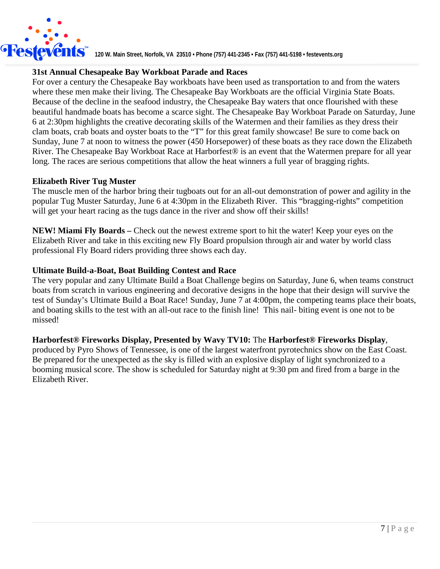

#### **31st Annual Chesapeake Bay Workboat Parade and Races**

For over a century the Chesapeake Bay workboats have been used as transportation to and from the waters where these men make their living. The Chesapeake Bay Workboats are the official Virginia State Boats. Because of the decline in the seafood industry, the Chesapeake Bay waters that once flourished with these beautiful handmade boats has become a scarce sight. The Chesapeake Bay Workboat Parade on Saturday, June 6 at 2:30pm highlights the creative decorating skills of the Watermen and their families as they dress their clam boats, crab boats and oyster boats to the "T" for this great family showcase! Be sure to come back on Sunday, June 7 at noon to witness the power (450 Horsepower) of these boats as they race down the Elizabeth River. The Chesapeake Bay Workboat Race at Harborfest® is an event that the Watermen prepare for all year long. The races are serious competitions that allow the heat winners a full year of bragging rights.

#### **Elizabeth River Tug Muster**

The muscle men of the harbor bring their tugboats out for an all-out demonstration of power and agility in the popular Tug Muster Saturday, June 6 at 4:30pm in the Elizabeth River. This "bragging-rights" competition will get your heart racing as the tugs dance in the river and show off their skills!

**NEW! Miami Fly Boards –** Check out the newest extreme sport to hit the water! Keep your eyes on the Elizabeth River and take in this exciting new Fly Board propulsion through air and water by world class professional Fly Board riders providing three shows each day.

#### **Ultimate Build-a-Boat, Boat Building Contest and Race**

The very popular and zany Ultimate Build a Boat Challenge begins on Saturday, June 6, when teams construct boats from scratch in various engineering and decorative designs in the hope that their design will survive the test of Sunday's Ultimate Build a Boat Race! Sunday, June 7 at 4:00pm, the competing teams place their boats, and boating skills to the test with an all-out race to the finish line! This nail- biting event is one not to be missed!

#### **Harborfest® Fireworks Display, Presented by Wavy TV10:** The **Harborfest® Fireworks Display**,

produced by Pyro Shows of Tennessee, is one of the largest waterfront pyrotechnics show on the East Coast. Be prepared for the unexpected as the sky is filled with an explosive display of light synchronized to a booming musical score. The show is scheduled for Saturday night at 9:30 pm and fired from a barge in the Elizabeth River.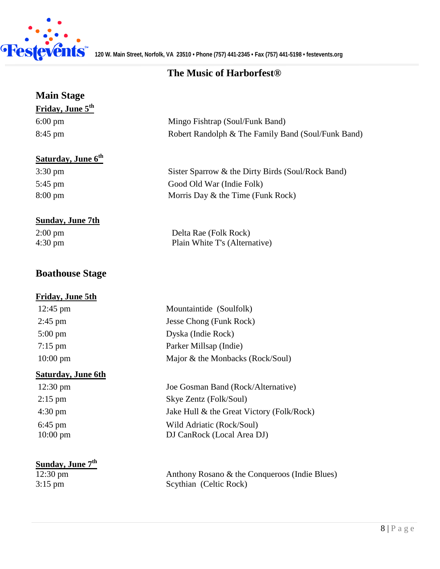

# **The Music of Harborfest®**

| <b>Main Stage</b>                      |                                                    |
|----------------------------------------|----------------------------------------------------|
| Friday, June 5 <sup>th</sup>           |                                                    |
| $6:00 \text{ pm}$                      | Mingo Fishtrap (Soul/Funk Band)                    |
| 8:45 pm                                | Robert Randolph & The Family Band (Soul/Funk Band) |
|                                        |                                                    |
| <b>Saturday</b> , June 6 <sup>th</sup> |                                                    |
| $3:30 \text{ pm}$                      | Sister Sparrow & the Dirty Birds (Soul/Rock Band)  |
| 5:45 pm                                | Good Old War (Indie Folk)                          |
| 8:00 pm                                | Morris Day & the Time (Funk Rock)                  |
|                                        |                                                    |
| <b>Sunday, June 7th</b>                |                                                    |
| $2:00 \text{ pm}$                      | Delta Rae (Folk Rock)                              |
| $4:30 \text{ pm}$                      | Plain White T's (Alternative)                      |
|                                        |                                                    |
| <b>Boathouse Stage</b>                 |                                                    |
| <b>Friday, June 5th</b>                |                                                    |
| $12:45 \text{ pm}$                     | Mountaintide (Soulfolk)                            |
| $2:45$ pm                              | Jesse Chong (Funk Rock)                            |
| $5:00 \text{ pm}$                      | Dyska (Indie Rock)                                 |
| $7:15$ pm                              | Parker Millsap (Indie)                             |
| $10:00$ pm                             | Major & the Monbacks (Rock/Soul)                   |
| <b>Saturday, June 6th</b>              |                                                    |
| $12:30 \text{ pm}$                     | Joe Gosman Band (Rock/Alternative)                 |
| $2:15$ pm                              | Skye Zentz (Folk/Soul)                             |
| 4:30 pm                                | Jake Hull & the Great Victory (Folk/Rock)          |
| $6:45$ pm                              | Wild Adriatic (Rock/Soul)                          |
| $10:00$ pm                             | DJ CanRock (Local Area DJ)                         |
|                                        |                                                    |
| <b>Sunday, June 7th</b>                |                                                    |
| $12:30 \text{ pm}$                     | Anthony Rosano & the Conqueroos (Indie Blues)      |
| $3:15$ pm                              | Scythian (Celtic Rock)                             |
|                                        |                                                    |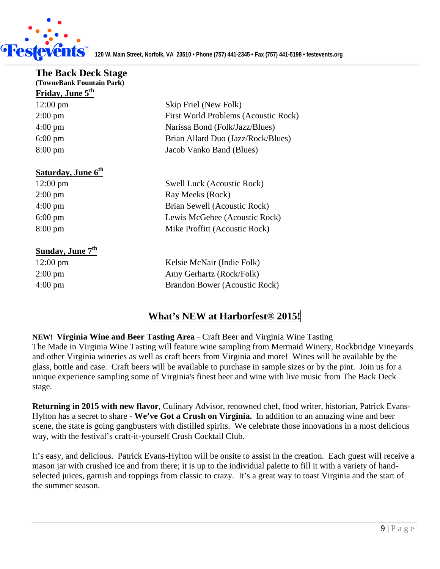

| <b>The Back Deck Stage</b>     |                                      |
|--------------------------------|--------------------------------------|
| (TowneBank Fountain Park)      |                                      |
| Friday, June 5 <sup>th</sup>   |                                      |
| $12:00 \text{ pm}$             | Skip Friel (New Folk)                |
| $2:00 \text{ pm}$              | First World Problems (Acoustic Rock) |
| $4:00 \text{ pm}$              | Narissa Bond (Folk/Jazz/Blues)       |
| $6:00 \text{ pm}$              | Brian Allard Duo (Jazz/Rock/Blues)   |
| $8:00 \text{ pm}$              | Jacob Vanko Band (Blues)             |
| Saturday, June 6 <sup>th</sup> |                                      |
| $12:00 \text{ pm}$             | Swell Luck (Acoustic Rock)           |
| $2:00 \text{ pm}$              | Ray Meeks (Rock)                     |
| $4:00 \text{ pm}$              | Brian Sewell (Acoustic Rock)         |
| $6:00 \text{ pm}$              | Lewis McGehee (Acoustic Rock)        |
| $8:00 \text{ pm}$              | Mike Proffitt (Acoustic Rock)        |
| Sunday, June 7 <sup>th</sup>   |                                      |
| $12:00 \text{ pm}$             | Kelsie McNair (Indie Folk)           |
| $2:00 \text{ pm}$              | Amy Gerhartz (Rock/Folk)             |
| $4:00 \text{ pm}$              | Brandon Bower (Acoustic Rock)        |
|                                |                                      |

## **What's NEW at Harborfest® 2015!**

**NEW! Virginia Wine and Beer Tasting Area** – Craft Beer and Virginia Wine Tasting The Made in Virginia Wine Tasting will feature wine sampling from Mermaid Winery, Rockbridge Vineyards and other Virginia wineries as well as craft beers from Virginia and more! Wines will be available by the glass, bottle and case. Craft beers will be available to purchase in sample sizes or by the pint. Join us for a unique experience sampling some of Virginia's finest beer and wine with live music from The Back Deck stage.

**Returning in 2015 with new flavor**, Culinary Advisor, renowned chef, food writer, historian, Patrick Evans-Hylton has a secret to share - **We've Got a Crush on Virginia.** In addition to an amazing wine and beer scene, the state is going gangbusters with distilled spirits. We celebrate those innovations in a most delicious way, with the festival's craft-it-yourself Crush Cocktail Club.

It's easy, and delicious. Patrick Evans-Hylton will be onsite to assist in the creation. Each guest will receive a mason jar with crushed ice and from there; it is up to the individual palette to fill it with a variety of handselected juices, garnish and toppings from classic to crazy. It's a great way to toast Virginia and the start of the summer season.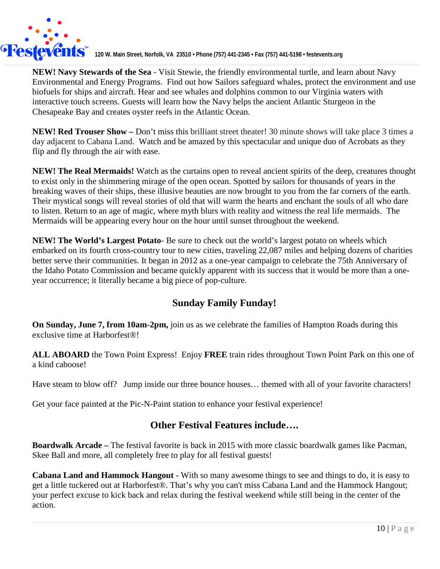

**120 W. Main Street, Norfolk, VA 23510 •** Phone (757) 441-2345 • Fax (757) 441-5198 • festevents.org

**NEW! Navy Stewards of the Sea** - Visit Stewie, the friendly environmental turtle, and learn about Navy Environmental and Energy Programs. Find out how Sailors safeguard whales, protect the environment and use biofuels for ships and aircraft. Hear and see whales and dolphins common to our Virginia waters with interactive touch screens. Guests will learn how the Navy helps the ancient Atlantic Sturgeon in the Chesapeake Bay and creates oyster reefs in the Atlantic Ocean.

**NEW! Red Trouser Show –** Don't miss this brilliant street theater! 30 minute shows will take place 3 times a day adjacent to Cabana Land. Watch and be amazed by this spectacular and unique duo of Acrobats as they flip and fly through the air with ease.

**NEW! The Real Mermaids!** Watch as the curtains open to reveal ancient spirits of the deep, creatures thought to exist only in the shimmering mirage of the open ocean. Spotted by sailors for thousands of years in the breaking waves of their ships, these illusive beauties are now brought to you from the far corners of the earth. Their mystical songs will reveal stories of old that will warm the hearts and enchant the souls of all who dare to listen. Return to an age of magic, where myth blurs with reality and witness the real life mermaids. The Mermaids will be appearing every hour on the hour until sunset throughout the weekend.

**NEW! The World's Largest Potato**- Be sure to check out the world's largest potato on wheels which embarked on its fourth cross-country tour to new cities, traveling 22,087 miles and helping dozens of charities better serve their communities. It began in 2012 as a one-year campaign to celebrate the 75th Anniversary of the Idaho Potato Commission and became quickly apparent with its success that it would be more than a oneyear occurrence; it literally became a big piece of pop-culture.

# **Sunday Family Funday!**

**On Sunday, June 7, from 10am-2pm,** join us as we celebrate the families of Hampton Roads during this exclusive time at Harborfest®!

**ALL ABOARD** the Town Point Express! Enjoy **FREE** train rides throughout Town Point Park on this one of a kind caboose!

Have steam to blow off? Jump inside our three bounce houses… themed with all of your favorite characters!

Get your face painted at the Pic-N-Paint station to enhance your festival experience!

## **Other Festival Features include….**

**Boardwalk Arcade –** The festival favorite is back in 2015 with more classic boardwalk games like Pacman, Skee Ball and more, all completely free to play for all festival guests!

**Cabana Land and Hammock Hangout -** With so many awesome things to see and things to do, it is easy to get a little tuckered out at Harborfest®. That's why you can't miss Cabana Land and the Hammock Hangout; your perfect excuse to kick back and relax during the festival weekend while still being in the center of the action.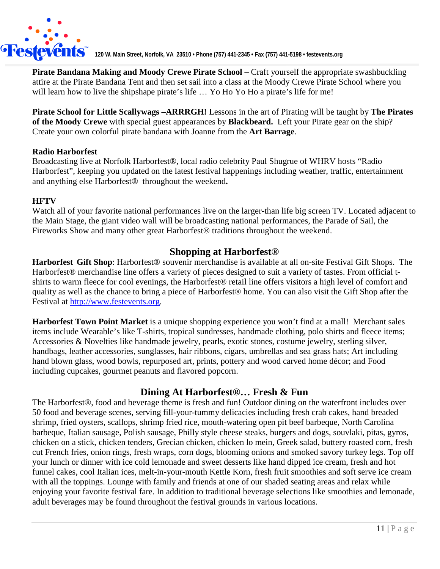

**Pirate Bandana Making and Moody Crewe Pirate School –** Craft yourself the appropriate swashbuckling attire at the Pirate Bandana Tent and then set sail into a class at the Moody Crewe Pirate School where you will learn how to live the shipshape pirate's life ... Yo Ho Yo Ho a pirate's life for me!

**Pirate School for Little Scallywags –ARRRGH!** Lessons in the art of Pirating will be taught by **The Pirates of the Moody Crewe** with special guest appearances by **Blackbeard.** Left your Pirate gear on the ship? Create your own colorful pirate bandana with Joanne from the **Art Barrage**.

#### **Radio Harborfest**

Broadcasting live at Norfolk Harborfest®, local radio celebrity Paul Shugrue of WHRV hosts "Radio Harborfest", keeping you updated on the latest festival happenings including weather, traffic, entertainment and anything else Harborfest® throughout the weekend**.** 

#### **HFTV**

Watch all of your favorite national performances live on the larger-than life big screen TV. Located adjacent to the Main Stage, the giant video wall will be broadcasting national performances, the Parade of Sail, the Fireworks Show and many other great Harborfest® traditions throughout the weekend.

## **Shopping at Harborfest®**

**Harborfest Gift Shop**: Harborfest® souvenir merchandise is available at all on-site Festival Gift Shops. The Harborfest® merchandise line offers a variety of pieces designed to suit a variety of tastes. From official tshirts to warm fleece for cool evenings, the Harborfest® retail line offers visitors a high level of comfort and quality as well as the chance to bring a piece of Harborfest® home. You can also visit the Gift Shop after the Festival at [http://www.festevents.org.](http://www.festevents.org/)

**Harborfest Town Point Market** is a unique shopping experience you won't find at a mall! Merchant sales items include Wearable's like T-shirts, tropical sundresses, handmade clothing, polo shirts and fleece items; Accessories & Novelties like handmade jewelry, pearls, exotic stones, costume jewelry, sterling silver, handbags, leather accessories, sunglasses, hair ribbons, cigars, umbrellas and sea grass hats; Art including hand blown glass, wood bowls, repurposed art, prints, pottery and wood carved home décor; and Food including cupcakes, gourmet peanuts and flavored popcorn.

## **Dining At Harborfest®… Fresh & Fun**

The Harborfest®, food and beverage theme is fresh and fun! Outdoor dining on the waterfront includes over 50 food and beverage scenes, serving fill-your-tummy delicacies including fresh crab cakes, hand breaded shrimp, fried oysters, scallops, shrimp fried rice, mouth-watering open pit beef barbeque, North Carolina barbeque, Italian sausage, Polish sausage, Philly style cheese steaks, burgers and dogs, souvlaki, pitas, gyros, chicken on a stick, chicken tenders, Grecian chicken, chicken lo mein, Greek salad, buttery roasted corn, fresh cut French fries, onion rings, fresh wraps, corn dogs, blooming onions and smoked savory turkey legs. Top off your lunch or dinner with ice cold lemonade and sweet desserts like hand dipped ice cream, fresh and hot funnel cakes, cool Italian ices, melt-in-your-mouth Kettle Korn, fresh fruit smoothies and soft serve ice cream with all the toppings. Lounge with family and friends at one of our shaded seating areas and relax while enjoying your favorite festival fare. In addition to traditional beverage selections like smoothies and lemonade, adult beverages may be found throughout the festival grounds in various locations.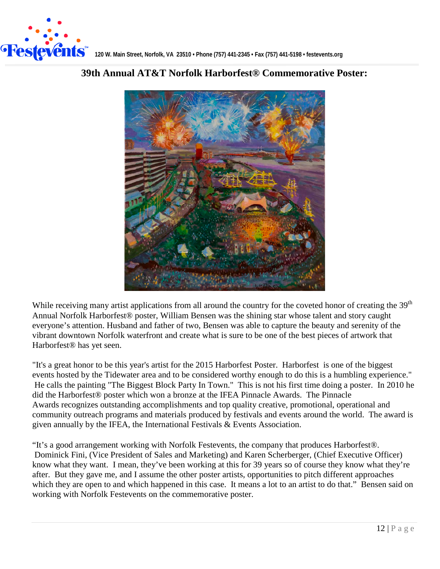



## **39th Annual AT&T Norfolk Harborfest® Commemorative Poster:**

While receiving many artist applications from all around the country for the coveted honor of creating the 39<sup>th</sup> Annual Norfolk Harborfest® poster, William Bensen was the shining star whose talent and story caught everyone's attention. Husband and father of two, Bensen was able to capture the beauty and serenity of the vibrant downtown Norfolk waterfront and create what is sure to be one of the best pieces of artwork that Harborfest® has yet seen.

"It's a great honor to be this year's artist for the 2015 Harborfest Poster. Harborfest is one of the biggest events hosted by the Tidewater area and to be considered worthy enough to do this is a humbling experience." He calls the painting "The Biggest Block Party In Town." This is not his first time doing a poster. In 2010 he did the Harborfest® poster which won a bronze at the IFEA Pinnacle Awards. The Pinnacle Awards recognizes outstanding accomplishments and top quality creative, promotional, operational and community outreach programs and materials produced by festivals and events around the world. The award is given annually by the IFEA, the International Festivals & Events Association.

"It's a good arrangement working with Norfolk Festevents, the company that produces Harborfest®. Dominick Fini, (Vice President of Sales and Marketing) and Karen Scherberger, (Chief Executive Officer) know what they want. I mean, they've been working at this for 39 years so of course they know what they're after. But they gave me, and I assume the other poster artists, opportunities to pitch different approaches which they are open to and which happened in this case. It means a lot to an artist to do that." Bensen said on working with Norfolk Festevents on the commemorative poster.